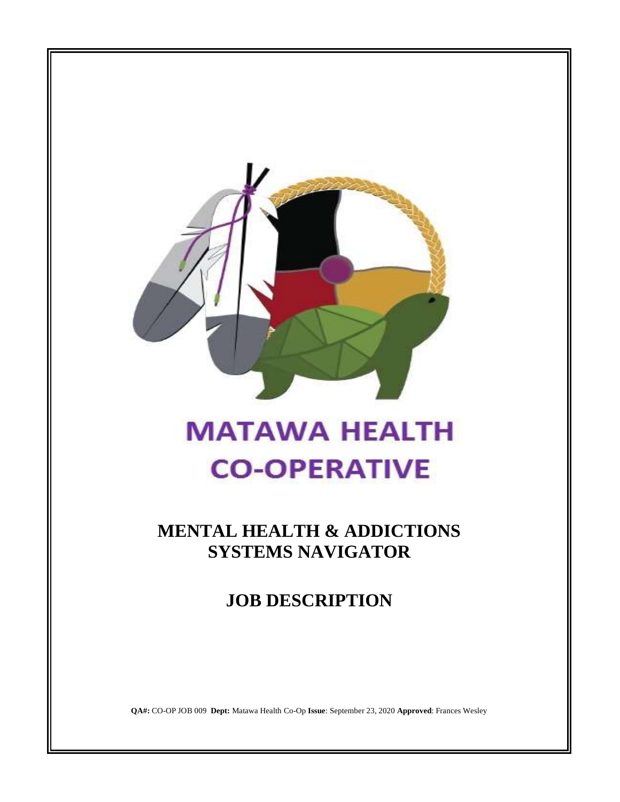

# **MATAWA HEALTH CO-OPERATIVE**

**MENTAL HEALTH & ADDICTIONS SYSTEMS NAVIGATOR**

**JOB DESCRIPTION**

**QA#:** CO-OP JOB 009 **Dept:** Matawa Health Co-Op **Issue**: September 23, 2020 **Approved**: Frances Wesley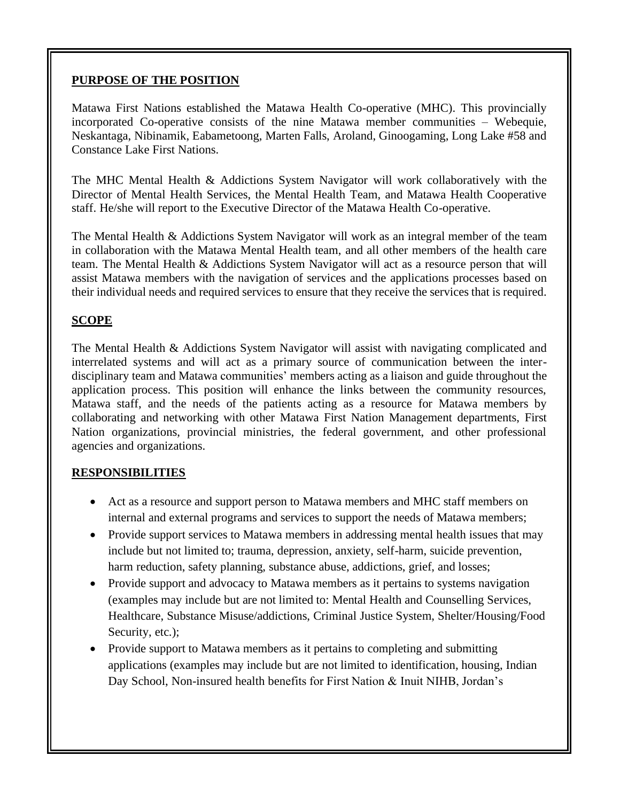## **PURPOSE OF THE POSITION**

Matawa First Nations established the Matawa Health Co-operative (MHC). This provincially incorporated Co-operative consists of the nine Matawa member communities – Webequie, Neskantaga, Nibinamik, Eabametoong, Marten Falls, Aroland, Ginoogaming, Long Lake #58 and Constance Lake First Nations.

The MHC Mental Health & Addictions System Navigator will work collaboratively with the Director of Mental Health Services, the Mental Health Team, and Matawa Health Cooperative staff. He/she will report to the Executive Director of the Matawa Health Co-operative.

The Mental Health & Addictions System Navigator will work as an integral member of the team in collaboration with the Matawa Mental Health team, and all other members of the health care team. The Mental Health & Addictions System Navigator will act as a resource person that will assist Matawa members with the navigation of services and the applications processes based on their individual needs and required services to ensure that they receive the services that is required.

## **SCOPE**

The Mental Health & Addictions System Navigator will assist with navigating complicated and interrelated systems and will act as a primary source of communication between the interdisciplinary team and Matawa communities' members acting as a liaison and guide throughout the application process. This position will enhance the links between the community resources, Matawa staff, and the needs of the patients acting as a resource for Matawa members by collaborating and networking with other Matawa First Nation Management departments, First Nation organizations, provincial ministries, the federal government, and other professional agencies and organizations.

## **RESPONSIBILITIES**

- Act as a resource and support person to Matawa members and MHC staff members on internal and external programs and services to support the needs of Matawa members;
- Provide support services to Matawa members in addressing mental health issues that may include but not limited to; trauma, depression, anxiety, self-harm, suicide prevention, harm reduction, safety planning, substance abuse, addictions, grief, and losses;
- Provide support and advocacy to Matawa members as it pertains to systems navigation (examples may include but are not limited to: Mental Health and Counselling Services, Healthcare, Substance Misuse/addictions, Criminal Justice System, Shelter/Housing/Food Security, etc.);
- Provide support to Matawa members as it pertains to completing and submitting applications (examples may include but are not limited to identification, housing, Indian Day School, Non-insured health benefits for First Nation & Inuit NIHB, Jordan's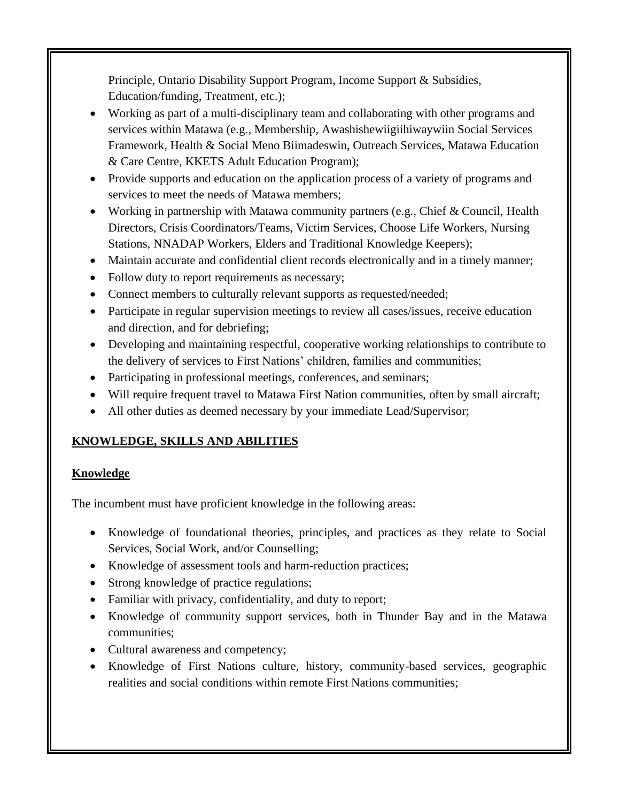Principle, Ontario Disability Support Program, Income Support & Subsidies, Education/funding, Treatment, etc.);

- Working as part of a multi-disciplinary team and collaborating with other programs and services within Matawa (e.g., Membership, Awashishewiigiihiwaywiin Social Services Framework, Health & Social Meno Biimadeswin, Outreach Services, Matawa Education & Care Centre, KKETS Adult Education Program);
- Provide supports and education on the application process of a variety of programs and services to meet the needs of Matawa members;
- Working in partnership with Matawa community partners (e.g., Chief & Council, Health Directors, Crisis Coordinators/Teams, Victim Services, Choose Life Workers, Nursing Stations, NNADAP Workers, Elders and Traditional Knowledge Keepers);
- Maintain accurate and confidential client records electronically and in a timely manner;
- Follow duty to report requirements as necessary;
- Connect members to culturally relevant supports as requested/needed;
- Participate in regular supervision meetings to review all cases/issues, receive education and direction, and for debriefing;
- Developing and maintaining respectful, cooperative working relationships to contribute to the delivery of services to First Nations' children, families and communities;
- Participating in professional meetings, conferences, and seminars;
- Will require frequent travel to Matawa First Nation communities, often by small aircraft;
- All other duties as deemed necessary by your immediate Lead/Supervisor;

# **KNOWLEDGE, SKILLS AND ABILITIES**

## **Knowledge**

The incumbent must have proficient knowledge in the following areas:

- Knowledge of foundational theories, principles, and practices as they relate to Social Services, Social Work, and/or Counselling;
- Knowledge of assessment tools and harm-reduction practices;
- Strong knowledge of practice regulations;
- Familiar with privacy, confidentiality, and duty to report;
- Knowledge of community support services, both in Thunder Bay and in the Matawa communities;
- Cultural awareness and competency;
- Knowledge of First Nations culture, history, community-based services, geographic realities and social conditions within remote First Nations communities;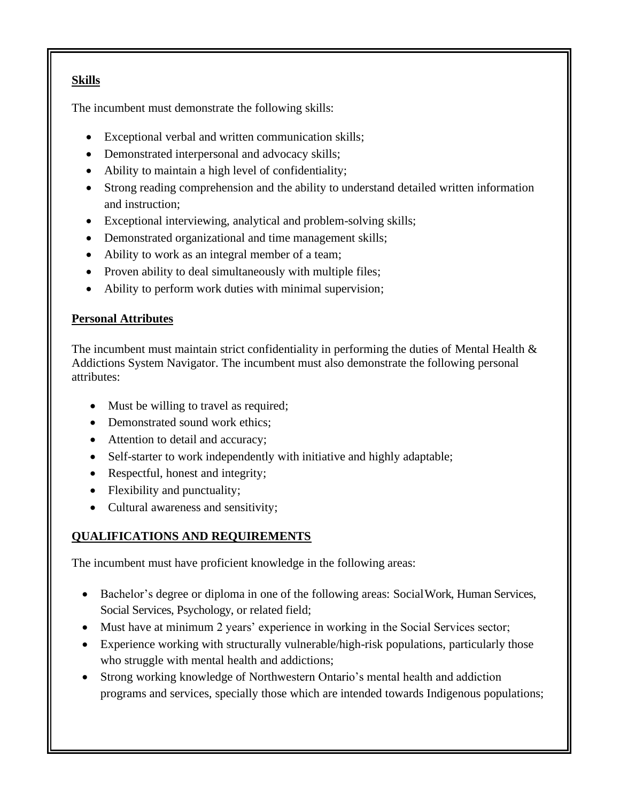# **Skills**

The incumbent must demonstrate the following skills:

- Exceptional verbal and written communication skills;
- Demonstrated interpersonal and advocacy skills;
- Ability to maintain a high level of confidentiality;
- Strong reading comprehension and the ability to understand detailed written information and instruction;
- Exceptional interviewing, analytical and problem-solving skills;
- Demonstrated organizational and time management skills;
- Ability to work as an integral member of a team;
- Proven ability to deal simultaneously with multiple files;
- Ability to perform work duties with minimal supervision;

## **Personal Attributes**

The incumbent must maintain strict confidentiality in performing the duties of Mental Health  $\&$ Addictions System Navigator. The incumbent must also demonstrate the following personal attributes:

- Must be willing to travel as required;
- Demonstrated sound work ethics;
- Attention to detail and accuracy;
- Self-starter to work independently with initiative and highly adaptable;
- Respectful, honest and integrity;
- Flexibility and punctuality;
- Cultural awareness and sensitivity;

# **QUALIFICATIONS AND REQUIREMENTS**

The incumbent must have proficient knowledge in the following areas:

- Bachelor's degree or diploma in one of the following areas: SocialWork, Human Services, Social Services, Psychology, or related field;
- Must have at minimum 2 years' experience in working in the Social Services sector;
- Experience working with structurally vulnerable/high-risk populations, particularly those who struggle with mental health and addictions;
- Strong working knowledge of Northwestern Ontario's mental health and addiction programs and services, specially those which are intended towards Indigenous populations;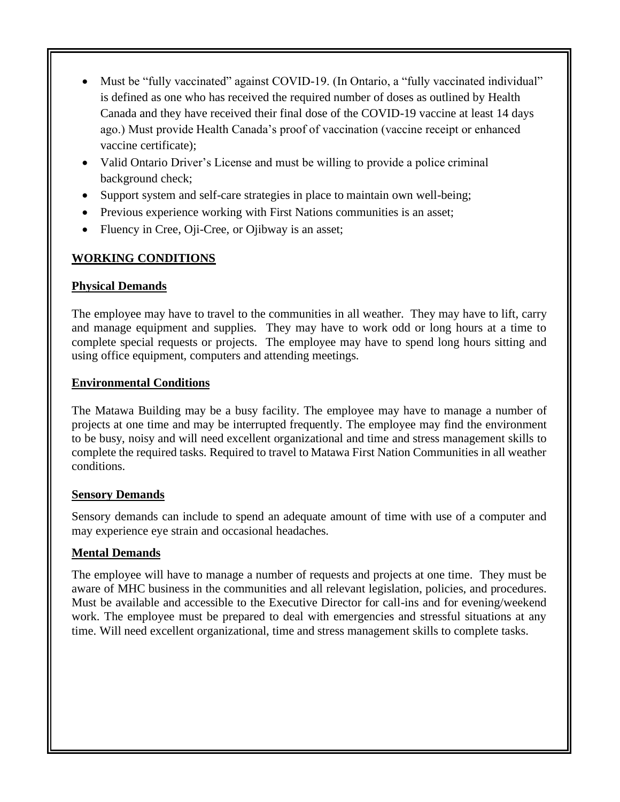- Must be "fully vaccinated" against COVID-19. (In Ontario, a "fully vaccinated individual" is defined as one who has received the required number of doses as outlined by Health Canada and they have received their final dose of the COVID-19 vaccine at least 14 days ago.) Must provide Health Canada's proof of vaccination (vaccine receipt or enhanced vaccine certificate);
- Valid Ontario Driver's License and must be willing to provide a police criminal background check;
- Support system and self-care strategies in place to maintain own well-being;
- Previous experience working with First Nations communities is an asset;
- Fluency in Cree, Oji-Cree, or Ojibway is an asset;

## **WORKING CONDITIONS**

## **Physical Demands**

The employee may have to travel to the communities in all weather. They may have to lift, carry and manage equipment and supplies. They may have to work odd or long hours at a time to complete special requests or projects. The employee may have to spend long hours sitting and using office equipment, computers and attending meetings.

#### **Environmental Conditions**

The Matawa Building may be a busy facility. The employee may have to manage a number of projects at one time and may be interrupted frequently. The employee may find the environment to be busy, noisy and will need excellent organizational and time and stress management skills to complete the required tasks. Required to travel to Matawa First Nation Communities in all weather conditions.

## **Sensory Demands**

Sensory demands can include to spend an adequate amount of time with use of a computer and may experience eye strain and occasional headaches.

## **Mental Demands**

The employee will have to manage a number of requests and projects at one time. They must be aware of MHC business in the communities and all relevant legislation, policies, and procedures. Must be available and accessible to the Executive Director for call-ins and for evening/weekend work. The employee must be prepared to deal with emergencies and stressful situations at any time. Will need excellent organizational, time and stress management skills to complete tasks.